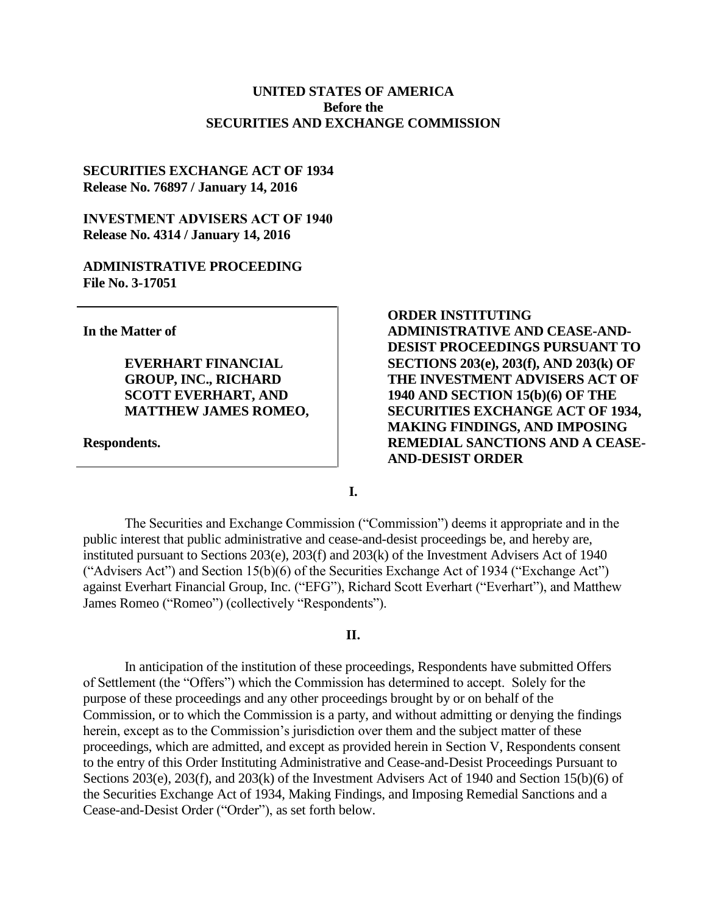# **UNITED STATES OF AMERICA Before the SECURITIES AND EXCHANGE COMMISSION**

# **SECURITIES EXCHANGE ACT OF 1934 Release No. 76897 / January 14, 2016**

# **INVESTMENT ADVISERS ACT OF 1940 Release No. 4314 / January 14, 2016**

# **ADMINISTRATIVE PROCEEDING File No. 3-17051**

**In the Matter of**

**EVERHART FINANCIAL GROUP, INC., RICHARD SCOTT EVERHART, AND MATTHEW JAMES ROMEO,**

**Respondents.**

**ORDER INSTITUTING ADMINISTRATIVE AND CEASE-AND-DESIST PROCEEDINGS PURSUANT TO SECTIONS 203(e), 203(f), AND 203(k) OF THE INVESTMENT ADVISERS ACT OF 1940 AND SECTION 15(b)(6) OF THE SECURITIES EXCHANGE ACT OF 1934, MAKING FINDINGS, AND IMPOSING REMEDIAL SANCTIONS AND A CEASE-AND-DESIST ORDER**

**I.**

The Securities and Exchange Commission ("Commission") deems it appropriate and in the public interest that public administrative and cease-and-desist proceedings be, and hereby are, instituted pursuant to Sections 203(e), 203(f) and 203(k) of the Investment Advisers Act of 1940 ("Advisers Act") and Section 15(b)(6) of the Securities Exchange Act of 1934 ("Exchange Act") against Everhart Financial Group, Inc. ("EFG"), Richard Scott Everhart ("Everhart"), and Matthew James Romeo ("Romeo") (collectively "Respondents").

### **II.**

In anticipation of the institution of these proceedings, Respondents have submitted Offers of Settlement (the "Offers") which the Commission has determined to accept. Solely for the purpose of these proceedings and any other proceedings brought by or on behalf of the Commission, or to which the Commission is a party, and without admitting or denying the findings herein, except as to the Commission's jurisdiction over them and the subject matter of these proceedings, which are admitted, and except as provided herein in Section V, Respondents consent to the entry of this Order Instituting Administrative and Cease-and-Desist Proceedings Pursuant to Sections 203(e), 203(f), and 203(k) of the Investment Advisers Act of 1940 and Section 15(b)(6) of the Securities Exchange Act of 1934, Making Findings, and Imposing Remedial Sanctions and a Cease-and-Desist Order ("Order"), as set forth below.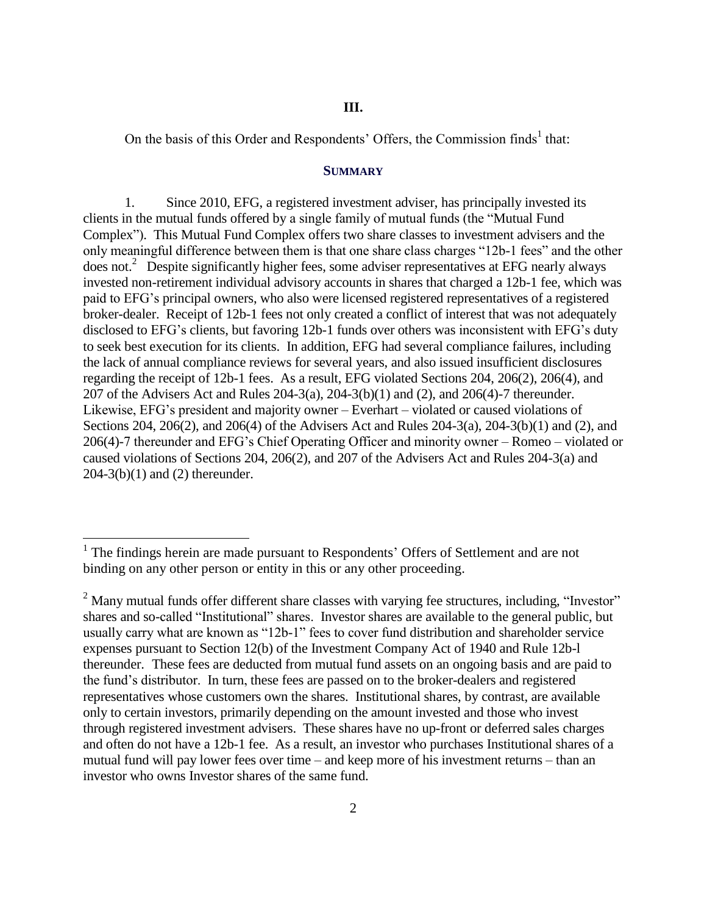On the basis of this Order and Respondents' Offers, the Commission finds<sup>1</sup> that:

#### **SUMMARY**

1. Since 2010, EFG, a registered investment adviser, has principally invested its clients in the mutual funds offered by a single family of mutual funds (the "Mutual Fund Complex"). This Mutual Fund Complex offers two share classes to investment advisers and the only meaningful difference between them is that one share class charges "12b-1 fees" and the other does not.<sup>2</sup> Despite significantly higher fees, some adviser representatives at EFG nearly always invested non-retirement individual advisory accounts in shares that charged a 12b-1 fee, which was paid to EFG's principal owners, who also were licensed registered representatives of a registered broker-dealer. Receipt of 12b-1 fees not only created a conflict of interest that was not adequately disclosed to EFG's clients, but favoring 12b-1 funds over others was inconsistent with EFG's duty to seek best execution for its clients. In addition, EFG had several compliance failures, including the lack of annual compliance reviews for several years, and also issued insufficient disclosures regarding the receipt of 12b-1 fees. As a result, EFG violated Sections 204, 206(2), 206(4), and 207 of the Advisers Act and Rules 204-3(a), 204-3(b)(1) and (2), and 206(4)-7 thereunder. Likewise, EFG's president and majority owner – Everhart – violated or caused violations of Sections 204, 206(2), and 206(4) of the Advisers Act and Rules 204-3(a), 204-3(b)(1) and (2), and 206(4)-7 thereunder and EFG's Chief Operating Officer and minority owner – Romeo – violated or caused violations of Sections 204, 206(2), and 207 of the Advisers Act and Rules 204-3(a) and 204-3(b)(1) and (2) thereunder.

<sup>&</sup>lt;sup>1</sup> The findings herein are made pursuant to Respondents' Offers of Settlement and are not binding on any other person or entity in this or any other proceeding.

 $2$  Many mutual funds offer different share classes with varying fee structures, including, "Investor" shares and so-called "Institutional" shares. Investor shares are available to the general public, but usually carry what are known as "12b-1" fees to cover fund distribution and shareholder service expenses pursuant to Section 12(b) of the Investment Company Act of 1940 and Rule 12b-l thereunder. These fees are deducted from mutual fund assets on an ongoing basis and are paid to the fund's distributor. In turn, these fees are passed on to the broker-dealers and registered representatives whose customers own the shares. Institutional shares, by contrast, are available only to certain investors, primarily depending on the amount invested and those who invest through registered investment advisers. These shares have no up-front or deferred sales charges and often do not have a 12b-1 fee. As a result, an investor who purchases Institutional shares of a mutual fund will pay lower fees over time – and keep more of his investment returns – than an investor who owns Investor shares of the same fund.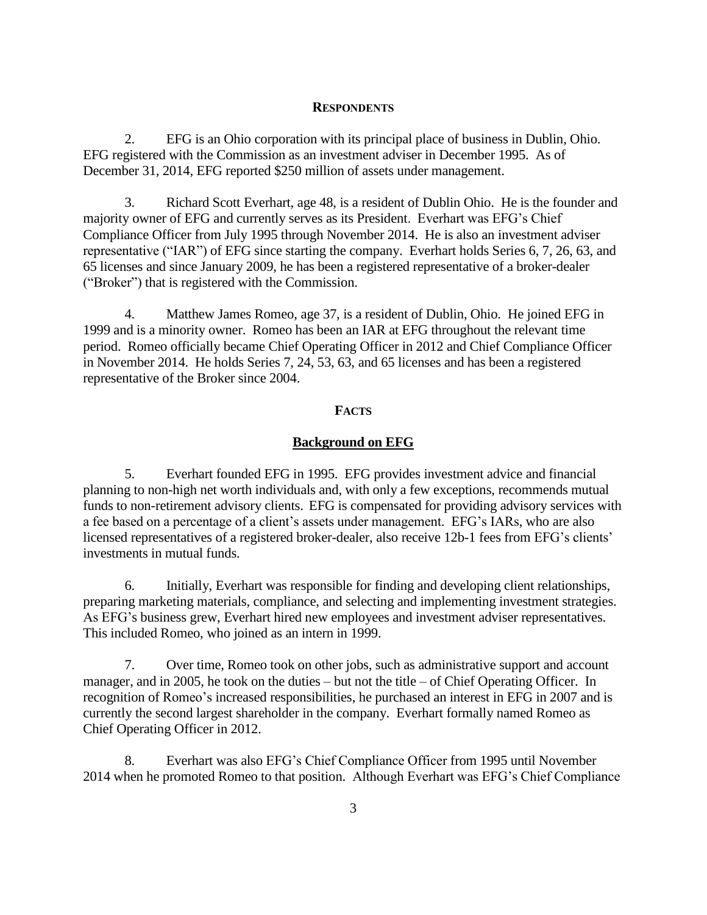#### **RESPONDENTS**

2. EFG is an Ohio corporation with its principal place of business in Dublin, Ohio. EFG registered with the Commission as an investment adviser in December 1995. As of December 31, 2014, EFG reported \$250 million of assets under management.

3. Richard Scott Everhart, age 48, is a resident of Dublin Ohio. He is the founder and majority owner of EFG and currently serves as its President. Everhart was EFG's Chief Compliance Officer from July 1995 through November 2014. He is also an investment adviser representative ("IAR") of EFG since starting the company. Everhart holds Series 6, 7, 26, 63, and 65 licenses and since January 2009, he has been a registered representative of a broker-dealer ("Broker") that is registered with the Commission.

4. Matthew James Romeo, age 37, is a resident of Dublin, Ohio. He joined EFG in 1999 and is a minority owner. Romeo has been an IAR at EFG throughout the relevant time period. Romeo officially became Chief Operating Officer in 2012 and Chief Compliance Officer in November 2014. He holds Series 7, 24, 53, 63, and 65 licenses and has been a registered representative of the Broker since 2004.

## **FACTS**

#### **Background on EFG**

5. Everhart founded EFG in 1995. EFG provides investment advice and financial planning to non-high net worth individuals and, with only a few exceptions, recommends mutual funds to non-retirement advisory clients. EFG is compensated for providing advisory services with a fee based on a percentage of a client's assets under management. EFG's IARs, who are also licensed representatives of a registered broker-dealer, also receive 12b-1 fees from EFG's clients' investments in mutual funds.

6. Initially, Everhart was responsible for finding and developing client relationships, preparing marketing materials, compliance, and selecting and implementing investment strategies. As EFG's business grew, Everhart hired new employees and investment adviser representatives. This included Romeo, who joined as an intern in 1999.

7. Over time, Romeo took on other jobs, such as administrative support and account manager, and in 2005, he took on the duties – but not the title – of Chief Operating Officer. In recognition of Romeo's increased responsibilities, he purchased an interest in EFG in 2007 and is currently the second largest shareholder in the company. Everhart formally named Romeo as Chief Operating Officer in 2012.

8. Everhart was also EFG's Chief Compliance Officer from 1995 until November 2014 when he promoted Romeo to that position. Although Everhart was EFG's Chief Compliance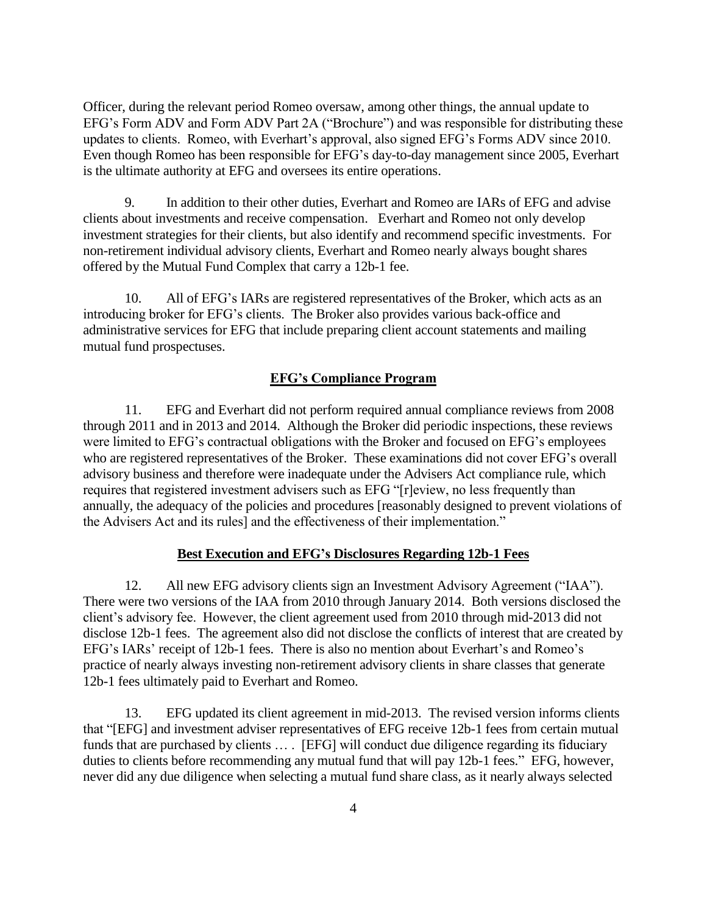Officer, during the relevant period Romeo oversaw, among other things, the annual update to EFG's Form ADV and Form ADV Part 2A ("Brochure") and was responsible for distributing these updates to clients. Romeo, with Everhart's approval, also signed EFG's Forms ADV since 2010. Even though Romeo has been responsible for EFG's day-to-day management since 2005, Everhart is the ultimate authority at EFG and oversees its entire operations.

9. In addition to their other duties, Everhart and Romeo are IARs of EFG and advise clients about investments and receive compensation. Everhart and Romeo not only develop investment strategies for their clients, but also identify and recommend specific investments. For non-retirement individual advisory clients, Everhart and Romeo nearly always bought shares offered by the Mutual Fund Complex that carry a 12b-1 fee.

10. All of EFG's IARs are registered representatives of the Broker, which acts as an introducing broker for EFG's clients. The Broker also provides various back-office and administrative services for EFG that include preparing client account statements and mailing mutual fund prospectuses.

## **EFG's Compliance Program**

11. EFG and Everhart did not perform required annual compliance reviews from 2008 through 2011 and in 2013 and 2014. Although the Broker did periodic inspections, these reviews were limited to EFG's contractual obligations with the Broker and focused on EFG's employees who are registered representatives of the Broker. These examinations did not cover EFG's overall advisory business and therefore were inadequate under the Advisers Act compliance rule, which requires that registered investment advisers such as EFG "[r]eview, no less frequently than annually, the adequacy of the policies and procedures [reasonably designed to prevent violations of the Advisers Act and its rules] and the effectiveness of their implementation."

# **Best Execution and EFG's Disclosures Regarding 12b-1 Fees**

12. All new EFG advisory clients sign an Investment Advisory Agreement ("IAA"). There were two versions of the IAA from 2010 through January 2014. Both versions disclosed the client's advisory fee. However, the client agreement used from 2010 through mid-2013 did not disclose 12b-1 fees. The agreement also did not disclose the conflicts of interest that are created by EFG's IARs' receipt of 12b-1 fees. There is also no mention about Everhart's and Romeo's practice of nearly always investing non-retirement advisory clients in share classes that generate 12b-1 fees ultimately paid to Everhart and Romeo.

13. EFG updated its client agreement in mid-2013. The revised version informs clients that "[EFG] and investment adviser representatives of EFG receive 12b-1 fees from certain mutual funds that are purchased by clients … . [EFG] will conduct due diligence regarding its fiduciary duties to clients before recommending any mutual fund that will pay 12b-1 fees." EFG, however, never did any due diligence when selecting a mutual fund share class, as it nearly always selected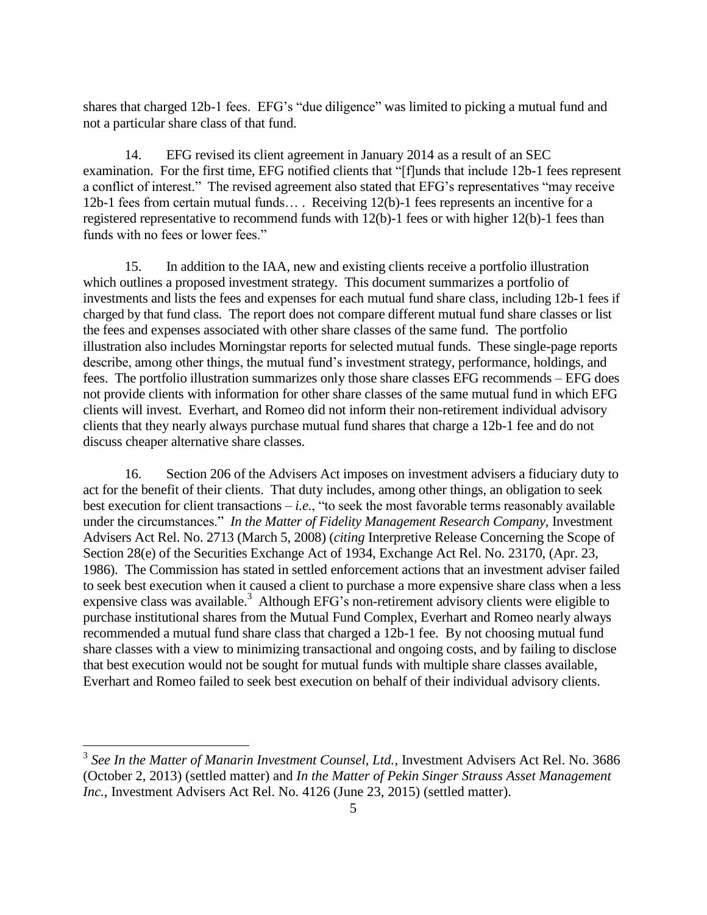shares that charged 12b-1 fees. EFG's "due diligence" was limited to picking a mutual fund and not a particular share class of that fund.

14. EFG revised its client agreement in January 2014 as a result of an SEC examination. For the first time, EFG notified clients that "[f]unds that include 12b-1 fees represent a conflict of interest." The revised agreement also stated that EFG's representatives "may receive 12b-1 fees from certain mutual funds… . Receiving 12(b)-1 fees represents an incentive for a registered representative to recommend funds with 12(b)-1 fees or with higher 12(b)-1 fees than funds with no fees or lower fees."

15. In addition to the IAA, new and existing clients receive a portfolio illustration which outlines a proposed investment strategy. This document summarizes a portfolio of investments and lists the fees and expenses for each mutual fund share class, including 12b-1 fees if charged by that fund class. The report does not compare different mutual fund share classes or list the fees and expenses associated with other share classes of the same fund. The portfolio illustration also includes Morningstar reports for selected mutual funds. These single-page reports describe, among other things, the mutual fund's investment strategy, performance, holdings, and fees. The portfolio illustration summarizes only those share classes EFG recommends – EFG does not provide clients with information for other share classes of the same mutual fund in which EFG clients will invest. Everhart, and Romeo did not inform their non-retirement individual advisory clients that they nearly always purchase mutual fund shares that charge a 12b-1 fee and do not discuss cheaper alternative share classes.

16. Section 206 of the Advisers Act imposes on investment advisers a fiduciary duty to act for the benefit of their clients. That duty includes, among other things, an obligation to seek best execution for client transactions – *i.e.*, "to seek the most favorable terms reasonably available under the circumstances." *In the Matter of Fidelity Management Research Company*, Investment Advisers Act Rel. No. 2713 (March 5, 2008) (*citing* Interpretive Release Concerning the Scope of Section 28(e) of the Securities Exchange Act of 1934, Exchange Act Rel. No. 23170, (Apr. 23, 1986). The Commission has stated in settled enforcement actions that an investment adviser failed to seek best execution when it caused a client to purchase a more expensive share class when a less expensive class was available.<sup>3</sup> Although EFG's non-retirement advisory clients were eligible to purchase institutional shares from the Mutual Fund Complex, Everhart and Romeo nearly always recommended a mutual fund share class that charged a 12b-1 fee. By not choosing mutual fund share classes with a view to minimizing transactional and ongoing costs, and by failing to disclose that best execution would not be sought for mutual funds with multiple share classes available, Everhart and Romeo failed to seek best execution on behalf of their individual advisory clients.

<sup>3</sup> *See In the Matter of Manarin Investment Counsel, Ltd.*, Investment Advisers Act Rel. No. 3686 (October 2, 2013) (settled matter) and *In the Matter of Pekin Singer Strauss Asset Management Inc.*, Investment Advisers Act Rel. No. 4126 (June 23, 2015) (settled matter).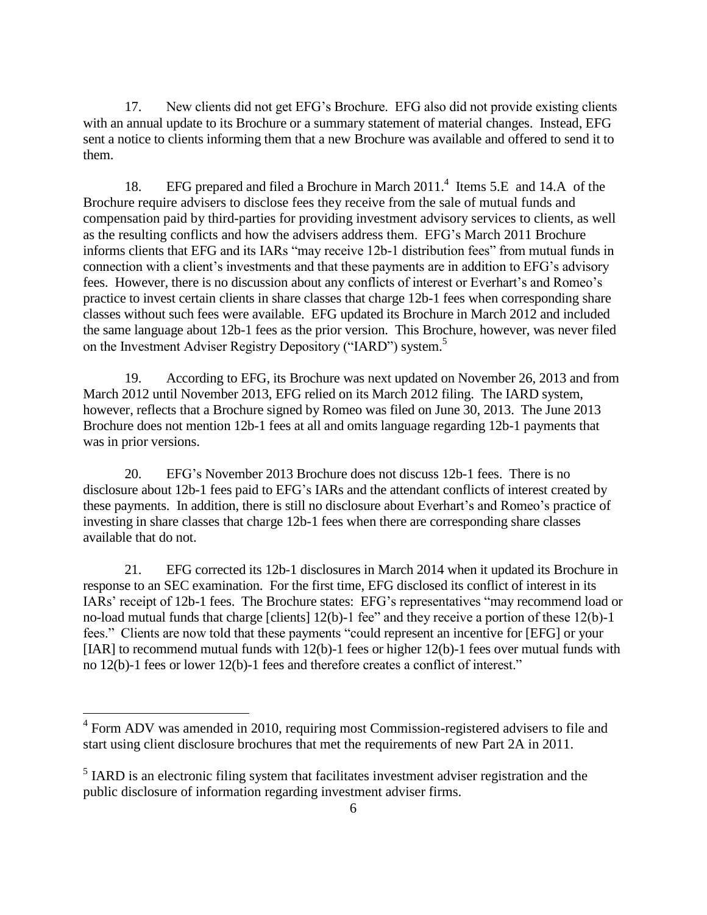17. New clients did not get EFG's Brochure. EFG also did not provide existing clients with an annual update to its Brochure or a summary statement of material changes. Instead, EFG sent a notice to clients informing them that a new Brochure was available and offered to send it to them.

18. EFG prepared and filed a Brochure in March 2011.<sup>4</sup> Items 5.E and 14.A of the Brochure require advisers to disclose fees they receive from the sale of mutual funds and compensation paid by third-parties for providing investment advisory services to clients, as well as the resulting conflicts and how the advisers address them. EFG's March 2011 Brochure informs clients that EFG and its IARs "may receive 12b-1 distribution fees" from mutual funds in connection with a client's investments and that these payments are in addition to EFG's advisory fees. However, there is no discussion about any conflicts of interest or Everhart's and Romeo's practice to invest certain clients in share classes that charge 12b-1 fees when corresponding share classes without such fees were available. EFG updated its Brochure in March 2012 and included the same language about 12b-1 fees as the prior version. This Brochure, however, was never filed on the Investment Adviser Registry Depository ("IARD") system.<sup>5</sup>

19. According to EFG, its Brochure was next updated on November 26, 2013 and from March 2012 until November 2013, EFG relied on its March 2012 filing. The IARD system, however, reflects that a Brochure signed by Romeo was filed on June 30, 2013. The June 2013 Brochure does not mention 12b-1 fees at all and omits language regarding 12b-1 payments that was in prior versions.

20. EFG's November 2013 Brochure does not discuss 12b-1 fees. There is no disclosure about 12b-1 fees paid to EFG's IARs and the attendant conflicts of interest created by these payments. In addition, there is still no disclosure about Everhart's and Romeo's practice of investing in share classes that charge 12b-1 fees when there are corresponding share classes available that do not.

21. EFG corrected its 12b-1 disclosures in March 2014 when it updated its Brochure in response to an SEC examination. For the first time, EFG disclosed its conflict of interest in its IARs' receipt of 12b-1 fees. The Brochure states: EFG's representatives "may recommend load or no-load mutual funds that charge [clients] 12(b)-1 fee" and they receive a portion of these 12(b)-1 fees." Clients are now told that these payments "could represent an incentive for [EFG] or your [IAR] to recommend mutual funds with 12(b)-1 fees or higher 12(b)-1 fees over mutual funds with no 12(b)-1 fees or lower 12(b)-1 fees and therefore creates a conflict of interest."

<sup>&</sup>lt;sup>4</sup> Form ADV was amended in 2010, requiring most Commission-registered advisers to file and start using client disclosure brochures that met the requirements of new Part 2A in 2011.

 $<sup>5</sup>$  IARD is an electronic filing system that facilitates investment adviser registration and the</sup> public disclosure of information regarding investment adviser firms.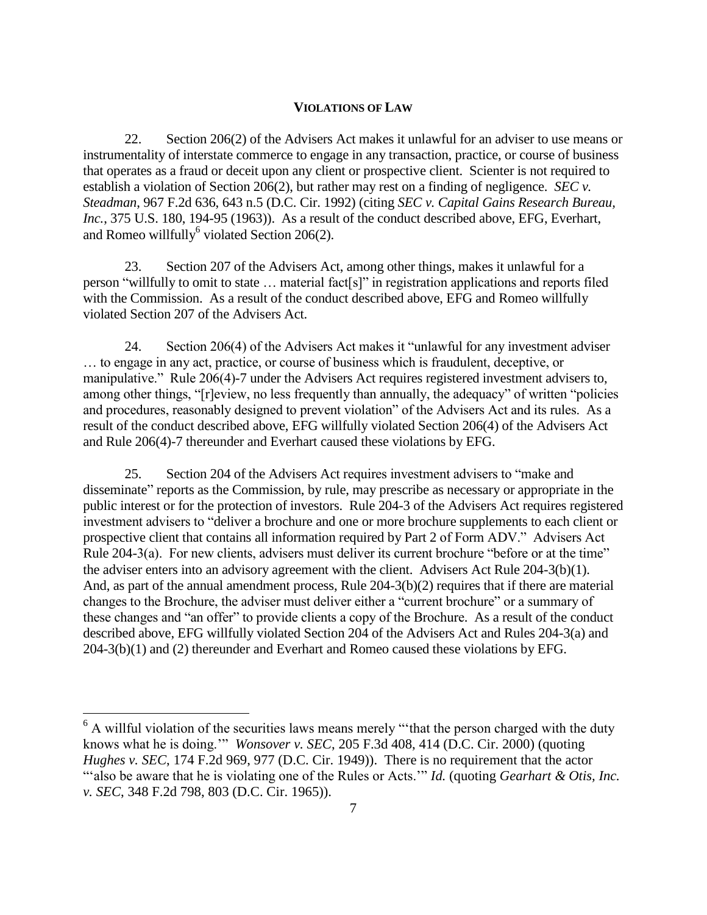## **VIOLATIONS OF LAW**

22. Section 206(2) of the Advisers Act makes it unlawful for an adviser to use means or instrumentality of interstate commerce to engage in any transaction, practice, or course of business that operates as a fraud or deceit upon any client or prospective client. Scienter is not required to establish a violation of Section 206(2), but rather may rest on a finding of negligence. *SEC v. Steadman*, 967 F.2d 636, 643 n.5 (D.C. Cir. 1992) (citing *SEC v. Capital Gains Research Bureau, Inc.*, 375 U.S. 180, 194-95 (1963)). As a result of the conduct described above, EFG, Everhart, and Romeo willfully violated Section 206(2).

23. Section 207 of the Advisers Act, among other things, makes it unlawful for a person "willfully to omit to state … material fact[s]" in registration applications and reports filed with the Commission. As a result of the conduct described above, EFG and Romeo willfully violated Section 207 of the Advisers Act.

24. Section 206(4) of the Advisers Act makes it "unlawful for any investment adviser … to engage in any act, practice, or course of business which is fraudulent, deceptive, or manipulative." Rule 206(4)-7 under the Advisers Act requires registered investment advisers to, among other things, "[r]eview, no less frequently than annually, the adequacy" of written "policies and procedures, reasonably designed to prevent violation" of the Advisers Act and its rules. As a result of the conduct described above, EFG willfully violated Section 206(4) of the Advisers Act and Rule 206(4)-7 thereunder and Everhart caused these violations by EFG.

25. Section 204 of the Advisers Act requires investment advisers to "make and disseminate" reports as the Commission, by rule, may prescribe as necessary or appropriate in the public interest or for the protection of investors. Rule 204-3 of the Advisers Act requires registered investment advisers to "deliver a brochure and one or more brochure supplements to each client or prospective client that contains all information required by Part 2 of Form ADV." Advisers Act Rule 204-3(a). For new clients, advisers must deliver its current brochure "before or at the time" the adviser enters into an advisory agreement with the client. Advisers Act Rule 204-3(b)(1). And, as part of the annual amendment process, Rule 204-3(b)(2) requires that if there are material changes to the Brochure, the adviser must deliver either a "current brochure" or a summary of these changes and "an offer" to provide clients a copy of the Brochure. As a result of the conduct described above, EFG willfully violated Section 204 of the Advisers Act and Rules 204-3(a) and 204-3(b)(1) and (2) thereunder and Everhart and Romeo caused these violations by EFG.

<sup>&</sup>lt;sup>6</sup> A willful violation of the securities laws means merely "that the person charged with the duty knows what he is doing.'" *Wonsover v. SEC*, 205 F.3d 408, 414 (D.C. Cir. 2000) (quoting *Hughes v. SEC*, 174 F.2d 969, 977 (D.C. Cir. 1949)). There is no requirement that the actor "'also be aware that he is violating one of the Rules or Acts.'" *Id.* (quoting *Gearhart & Otis, Inc. v. SEC*, 348 F.2d 798, 803 (D.C. Cir. 1965)).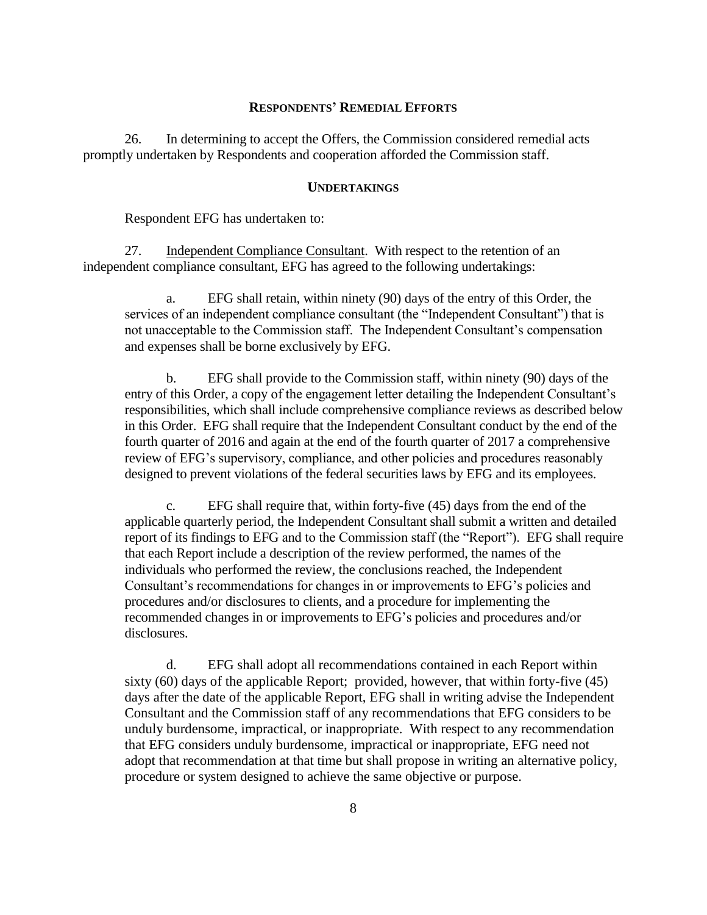#### **RESPONDENTS' REMEDIAL EFFORTS**

26. In determining to accept the Offers, the Commission considered remedial acts promptly undertaken by Respondents and cooperation afforded the Commission staff.

#### **UNDERTAKINGS**

Respondent EFG has undertaken to:

27. Independent Compliance Consultant. With respect to the retention of an independent compliance consultant, EFG has agreed to the following undertakings:

a. EFG shall retain, within ninety (90) days of the entry of this Order, the services of an independent compliance consultant (the "Independent Consultant") that is not unacceptable to the Commission staff. The Independent Consultant's compensation and expenses shall be borne exclusively by EFG.

b. EFG shall provide to the Commission staff, within ninety (90) days of the entry of this Order, a copy of the engagement letter detailing the Independent Consultant's responsibilities, which shall include comprehensive compliance reviews as described below in this Order. EFG shall require that the Independent Consultant conduct by the end of the fourth quarter of 2016 and again at the end of the fourth quarter of 2017 a comprehensive review of EFG's supervisory, compliance, and other policies and procedures reasonably designed to prevent violations of the federal securities laws by EFG and its employees.

c. EFG shall require that, within forty-five (45) days from the end of the applicable quarterly period, the Independent Consultant shall submit a written and detailed report of its findings to EFG and to the Commission staff (the "Report"). EFG shall require that each Report include a description of the review performed, the names of the individuals who performed the review, the conclusions reached, the Independent Consultant's recommendations for changes in or improvements to EFG's policies and procedures and/or disclosures to clients, and a procedure for implementing the recommended changes in or improvements to EFG's policies and procedures and/or disclosures.

d. EFG shall adopt all recommendations contained in each Report within sixty (60) days of the applicable Report; provided, however, that within forty-five (45) days after the date of the applicable Report, EFG shall in writing advise the Independent Consultant and the Commission staff of any recommendations that EFG considers to be unduly burdensome, impractical, or inappropriate. With respect to any recommendation that EFG considers unduly burdensome, impractical or inappropriate, EFG need not adopt that recommendation at that time but shall propose in writing an alternative policy, procedure or system designed to achieve the same objective or purpose.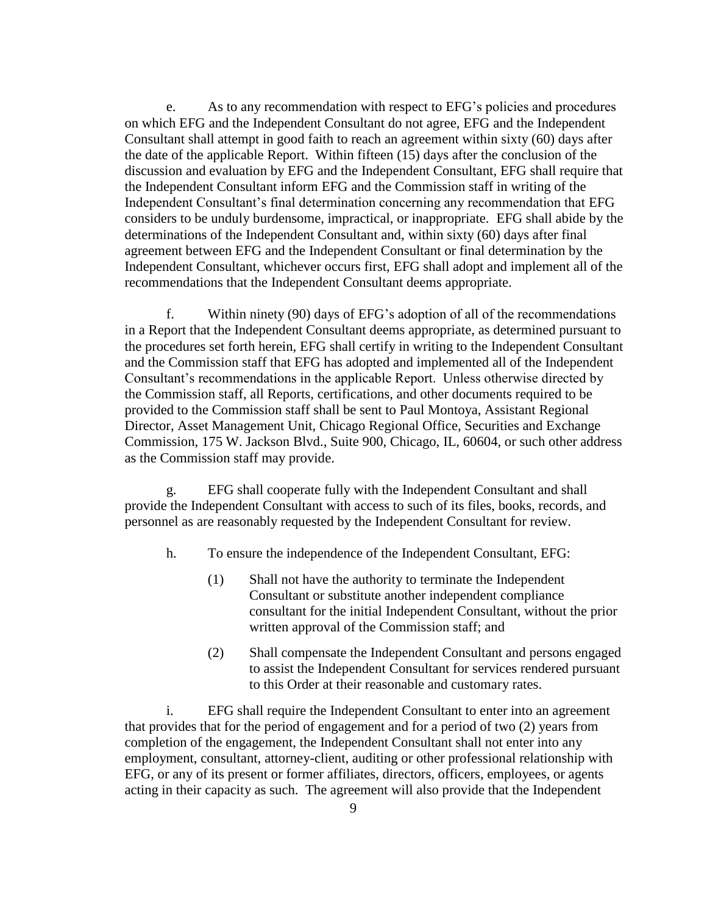e. As to any recommendation with respect to EFG's policies and procedures on which EFG and the Independent Consultant do not agree, EFG and the Independent Consultant shall attempt in good faith to reach an agreement within sixty (60) days after the date of the applicable Report. Within fifteen (15) days after the conclusion of the discussion and evaluation by EFG and the Independent Consultant, EFG shall require that the Independent Consultant inform EFG and the Commission staff in writing of the Independent Consultant's final determination concerning any recommendation that EFG considers to be unduly burdensome, impractical, or inappropriate. EFG shall abide by the determinations of the Independent Consultant and, within sixty (60) days after final agreement between EFG and the Independent Consultant or final determination by the Independent Consultant, whichever occurs first, EFG shall adopt and implement all of the recommendations that the Independent Consultant deems appropriate.

f. Within ninety (90) days of EFG's adoption of all of the recommendations in a Report that the Independent Consultant deems appropriate, as determined pursuant to the procedures set forth herein, EFG shall certify in writing to the Independent Consultant and the Commission staff that EFG has adopted and implemented all of the Independent Consultant's recommendations in the applicable Report. Unless otherwise directed by the Commission staff, all Reports, certifications, and other documents required to be provided to the Commission staff shall be sent to Paul Montoya, Assistant Regional Director, Asset Management Unit, Chicago Regional Office, Securities and Exchange Commission, 175 W. Jackson Blvd., Suite 900, Chicago, IL, 60604, or such other address as the Commission staff may provide.

g. EFG shall cooperate fully with the Independent Consultant and shall provide the Independent Consultant with access to such of its files, books, records, and personnel as are reasonably requested by the Independent Consultant for review.

- h. To ensure the independence of the Independent Consultant, EFG:
	- (1) Shall not have the authority to terminate the Independent Consultant or substitute another independent compliance consultant for the initial Independent Consultant, without the prior written approval of the Commission staff; and
	- (2) Shall compensate the Independent Consultant and persons engaged to assist the Independent Consultant for services rendered pursuant to this Order at their reasonable and customary rates.

i. EFG shall require the Independent Consultant to enter into an agreement that provides that for the period of engagement and for a period of two (2) years from completion of the engagement, the Independent Consultant shall not enter into any employment, consultant, attorney-client, auditing or other professional relationship with EFG, or any of its present or former affiliates, directors, officers, employees, or agents acting in their capacity as such. The agreement will also provide that the Independent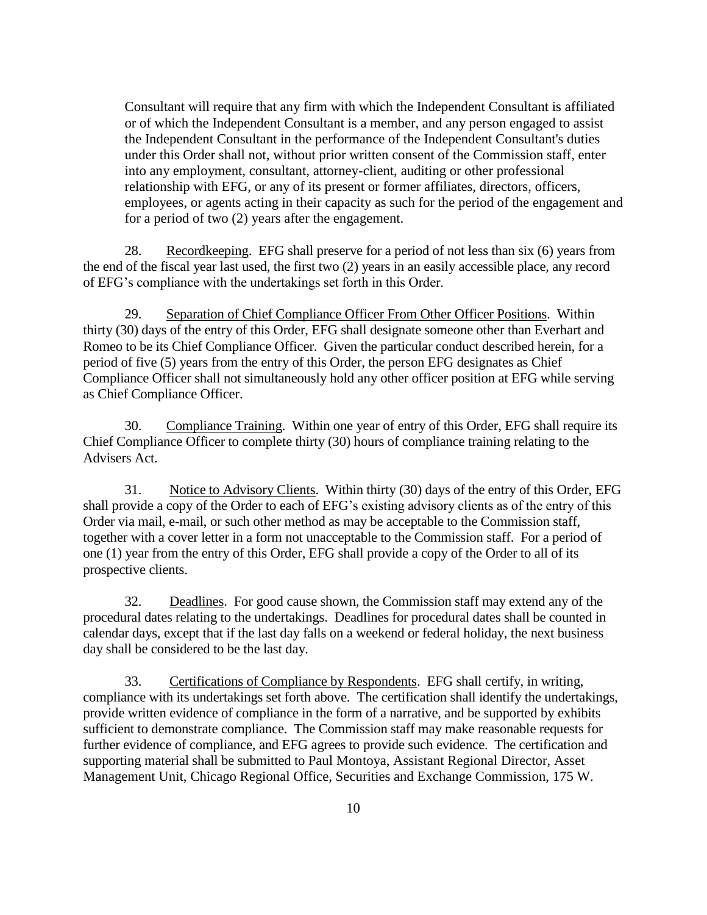Consultant will require that any firm with which the Independent Consultant is affiliated or of which the Independent Consultant is a member, and any person engaged to assist the Independent Consultant in the performance of the Independent Consultant's duties under this Order shall not, without prior written consent of the Commission staff, enter into any employment, consultant, attorney-client, auditing or other professional relationship with EFG, or any of its present or former affiliates, directors, officers, employees, or agents acting in their capacity as such for the period of the engagement and for a period of two (2) years after the engagement.

28. Recordkeeping. EFG shall preserve for a period of not less than six (6) years from the end of the fiscal year last used, the first two (2) years in an easily accessible place, any record of EFG's compliance with the undertakings set forth in this Order.

29. Separation of Chief Compliance Officer From Other Officer Positions. Within thirty (30) days of the entry of this Order, EFG shall designate someone other than Everhart and Romeo to be its Chief Compliance Officer. Given the particular conduct described herein, for a period of five (5) years from the entry of this Order, the person EFG designates as Chief Compliance Officer shall not simultaneously hold any other officer position at EFG while serving as Chief Compliance Officer.

30. Compliance Training. Within one year of entry of this Order, EFG shall require its Chief Compliance Officer to complete thirty (30) hours of compliance training relating to the Advisers Act.

31. Notice to Advisory Clients. Within thirty (30) days of the entry of this Order, EFG shall provide a copy of the Order to each of EFG's existing advisory clients as of the entry of this Order via mail, e-mail, or such other method as may be acceptable to the Commission staff, together with a cover letter in a form not unacceptable to the Commission staff. For a period of one (1) year from the entry of this Order, EFG shall provide a copy of the Order to all of its prospective clients.

32. Deadlines. For good cause shown, the Commission staff may extend any of the procedural dates relating to the undertakings. Deadlines for procedural dates shall be counted in calendar days, except that if the last day falls on a weekend or federal holiday, the next business day shall be considered to be the last day.

33. Certifications of Compliance by Respondents. EFG shall certify, in writing, compliance with its undertakings set forth above. The certification shall identify the undertakings, provide written evidence of compliance in the form of a narrative, and be supported by exhibits sufficient to demonstrate compliance. The Commission staff may make reasonable requests for further evidence of compliance, and EFG agrees to provide such evidence. The certification and supporting material shall be submitted to Paul Montoya, Assistant Regional Director, Asset Management Unit, Chicago Regional Office, Securities and Exchange Commission, 175 W.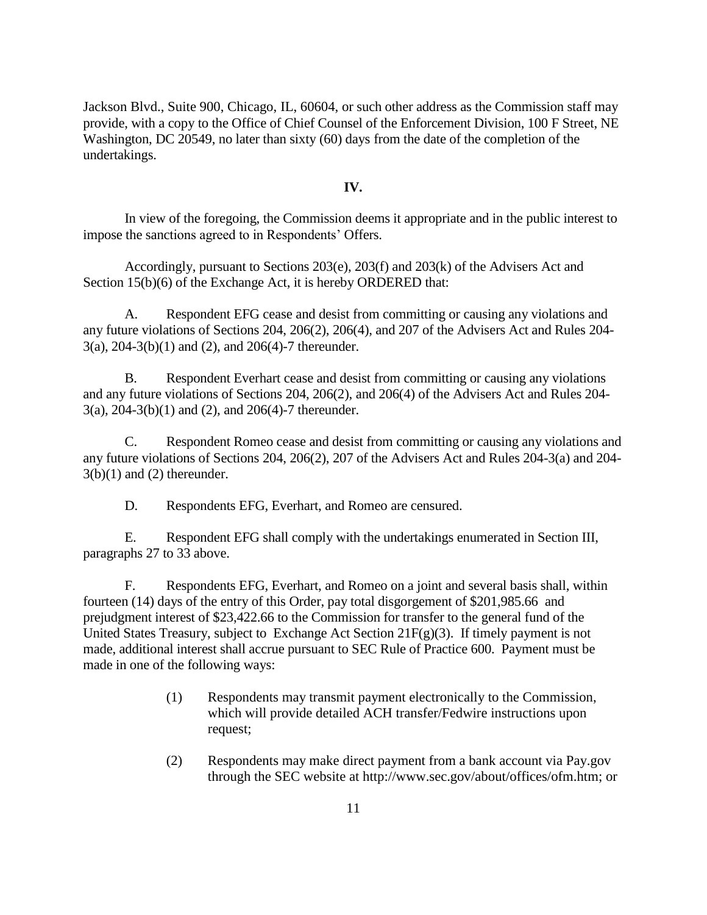Jackson Blvd., Suite 900, Chicago, IL, 60604, or such other address as the Commission staff may provide, with a copy to the Office of Chief Counsel of the Enforcement Division, 100 F Street, NE Washington, DC 20549, no later than sixty (60) days from the date of the completion of the undertakings.

#### **IV.**

In view of the foregoing, the Commission deems it appropriate and in the public interest to impose the sanctions agreed to in Respondents' Offers.

Accordingly, pursuant to Sections 203(e), 203(f) and 203(k) of the Advisers Act and Section 15(b)(6) of the Exchange Act, it is hereby ORDERED that:

A. Respondent EFG cease and desist from committing or causing any violations and any future violations of Sections 204, 206(2), 206(4), and 207 of the Advisers Act and Rules 204- 3(a), 204-3(b)(1) and (2), and 206(4)-7 thereunder.

B. Respondent Everhart cease and desist from committing or causing any violations and any future violations of Sections 204, 206(2), and 206(4) of the Advisers Act and Rules 204- 3(a), 204-3(b)(1) and (2), and 206(4)-7 thereunder.

C. Respondent Romeo cease and desist from committing or causing any violations and any future violations of Sections 204, 206(2), 207 of the Advisers Act and Rules 204-3(a) and 204-  $3(b)(1)$  and  $(2)$  thereunder.

D. Respondents EFG, Everhart, and Romeo are censured.

E. Respondent EFG shall comply with the undertakings enumerated in Section III, paragraphs 27 to 33 above.

F. Respondents EFG, Everhart, and Romeo on a joint and several basis shall, within fourteen (14) days of the entry of this Order, pay total disgorgement of \$201,985.66 and prejudgment interest of \$23,422.66 to the Commission for transfer to the general fund of the United States Treasury, subject to Exchange Act Section  $21F(g)(3)$ . If timely payment is not made, additional interest shall accrue pursuant to SEC Rule of Practice 600. Payment must be made in one of the following ways:

- (1) Respondents may transmit payment electronically to the Commission, which will provide detailed ACH transfer/Fedwire instructions upon request;
- (2) Respondents may make direct payment from a bank account via Pay.gov through the SEC website at http://www.sec.gov/about/offices/ofm.htm; or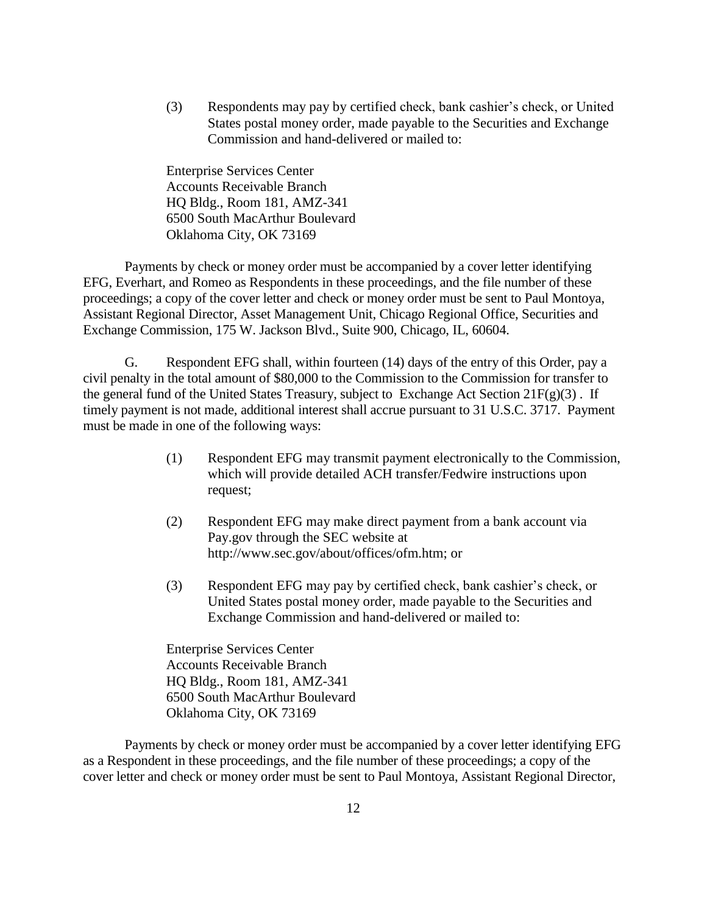(3) Respondents may pay by certified check, bank cashier's check, or United States postal money order, made payable to the Securities and Exchange Commission and hand-delivered or mailed to:

Enterprise Services Center Accounts Receivable Branch HQ Bldg., Room 181, AMZ-341 6500 South MacArthur Boulevard Oklahoma City, OK 73169

Payments by check or money order must be accompanied by a cover letter identifying EFG, Everhart, and Romeo as Respondents in these proceedings, and the file number of these proceedings; a copy of the cover letter and check or money order must be sent to Paul Montoya, Assistant Regional Director, Asset Management Unit, Chicago Regional Office, Securities and Exchange Commission, 175 W. Jackson Blvd., Suite 900, Chicago, IL, 60604.

G. Respondent EFG shall, within fourteen (14) days of the entry of this Order, pay a civil penalty in the total amount of \$80,000 to the Commission to the Commission for transfer to the general fund of the United States Treasury, subject to Exchange Act Section 21F(g)(3) . If timely payment is not made, additional interest shall accrue pursuant to 31 U.S.C. 3717. Payment must be made in one of the following ways:

- (1) Respondent EFG may transmit payment electronically to the Commission, which will provide detailed ACH transfer/Fedwire instructions upon request;
- (2) Respondent EFG may make direct payment from a bank account via Pay.gov through the SEC website at http://www.sec.gov/about/offices/ofm.htm; or
- (3) Respondent EFG may pay by certified check, bank cashier's check, or United States postal money order, made payable to the Securities and Exchange Commission and hand-delivered or mailed to:

Enterprise Services Center Accounts Receivable Branch HQ Bldg., Room 181, AMZ-341 6500 South MacArthur Boulevard Oklahoma City, OK 73169

Payments by check or money order must be accompanied by a cover letter identifying EFG as a Respondent in these proceedings, and the file number of these proceedings; a copy of the cover letter and check or money order must be sent to Paul Montoya, Assistant Regional Director,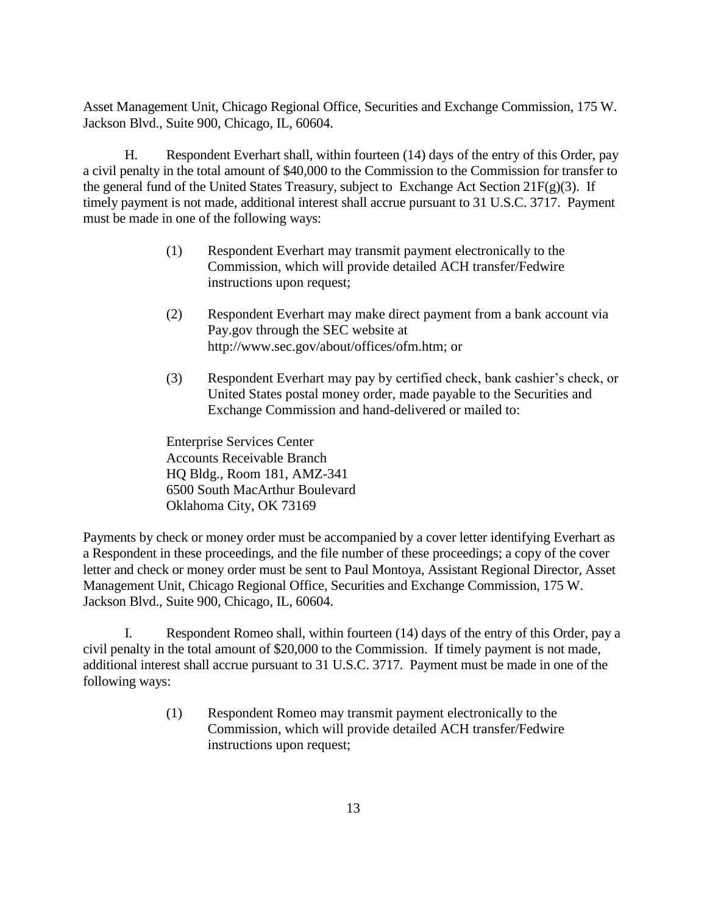Asset Management Unit, Chicago Regional Office, Securities and Exchange Commission, 175 W. Jackson Blvd., Suite 900, Chicago, IL, 60604.

H. Respondent Everhart shall, within fourteen (14) days of the entry of this Order, pay a civil penalty in the total amount of \$40,000 to the Commission to the Commission for transfer to the general fund of the United States Treasury, subject to Exchange Act Section  $21F(g)(3)$ . If timely payment is not made, additional interest shall accrue pursuant to 31 U.S.C. 3717. Payment must be made in one of the following ways:

- (1) Respondent Everhart may transmit payment electronically to the Commission, which will provide detailed ACH transfer/Fedwire instructions upon request;
- (2) Respondent Everhart may make direct payment from a bank account via Pay.gov through the SEC website at http://www.sec.gov/about/offices/ofm.htm; or
- (3) Respondent Everhart may pay by certified check, bank cashier's check, or United States postal money order, made payable to the Securities and Exchange Commission and hand-delivered or mailed to:

Enterprise Services Center Accounts Receivable Branch HQ Bldg., Room 181, AMZ-341 6500 South MacArthur Boulevard Oklahoma City, OK 73169

Payments by check or money order must be accompanied by a cover letter identifying Everhart as a Respondent in these proceedings, and the file number of these proceedings; a copy of the cover letter and check or money order must be sent to Paul Montoya, Assistant Regional Director, Asset Management Unit, Chicago Regional Office, Securities and Exchange Commission, 175 W. Jackson Blvd., Suite 900, Chicago, IL, 60604.

I. Respondent Romeo shall, within fourteen (14) days of the entry of this Order, pay a civil penalty in the total amount of \$20,000 to the Commission. If timely payment is not made, additional interest shall accrue pursuant to 31 U.S.C. 3717. Payment must be made in one of the following ways:

> (1) Respondent Romeo may transmit payment electronically to the Commission, which will provide detailed ACH transfer/Fedwire instructions upon request;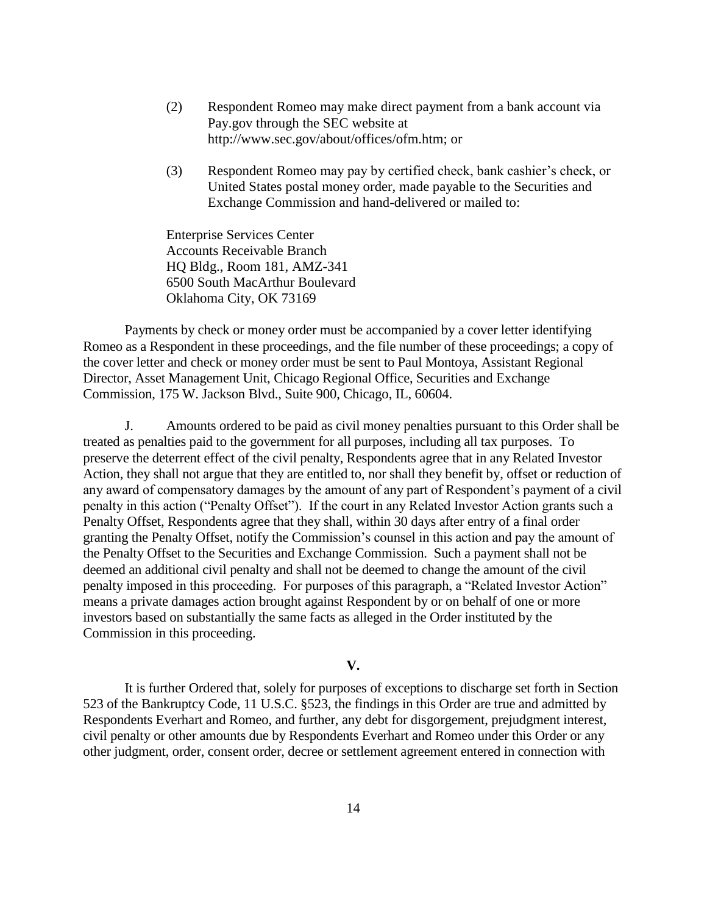- (2) Respondent Romeo may make direct payment from a bank account via Pay.gov through the SEC website at http://www.sec.gov/about/offices/ofm.htm; or
- (3) Respondent Romeo may pay by certified check, bank cashier's check, or United States postal money order, made payable to the Securities and Exchange Commission and hand-delivered or mailed to:

Enterprise Services Center Accounts Receivable Branch HQ Bldg., Room 181, AMZ-341 6500 South MacArthur Boulevard Oklahoma City, OK 73169

Payments by check or money order must be accompanied by a cover letter identifying Romeo as a Respondent in these proceedings, and the file number of these proceedings; a copy of the cover letter and check or money order must be sent to Paul Montoya, Assistant Regional Director, Asset Management Unit, Chicago Regional Office, Securities and Exchange Commission, 175 W. Jackson Blvd., Suite 900, Chicago, IL, 60604.

J. Amounts ordered to be paid as civil money penalties pursuant to this Order shall be treated as penalties paid to the government for all purposes, including all tax purposes. To preserve the deterrent effect of the civil penalty, Respondents agree that in any Related Investor Action, they shall not argue that they are entitled to, nor shall they benefit by, offset or reduction of any award of compensatory damages by the amount of any part of Respondent's payment of a civil penalty in this action ("Penalty Offset"). If the court in any Related Investor Action grants such a Penalty Offset, Respondents agree that they shall, within 30 days after entry of a final order granting the Penalty Offset, notify the Commission's counsel in this action and pay the amount of the Penalty Offset to the Securities and Exchange Commission. Such a payment shall not be deemed an additional civil penalty and shall not be deemed to change the amount of the civil penalty imposed in this proceeding. For purposes of this paragraph, a "Related Investor Action" means a private damages action brought against Respondent by or on behalf of one or more investors based on substantially the same facts as alleged in the Order instituted by the Commission in this proceeding.

## **V.**

It is further Ordered that, solely for purposes of exceptions to discharge set forth in Section 523 of the Bankruptcy Code, 11 U.S.C. §523, the findings in this Order are true and admitted by Respondents Everhart and Romeo, and further, any debt for disgorgement, prejudgment interest, civil penalty or other amounts due by Respondents Everhart and Romeo under this Order or any other judgment, order, consent order, decree or settlement agreement entered in connection with